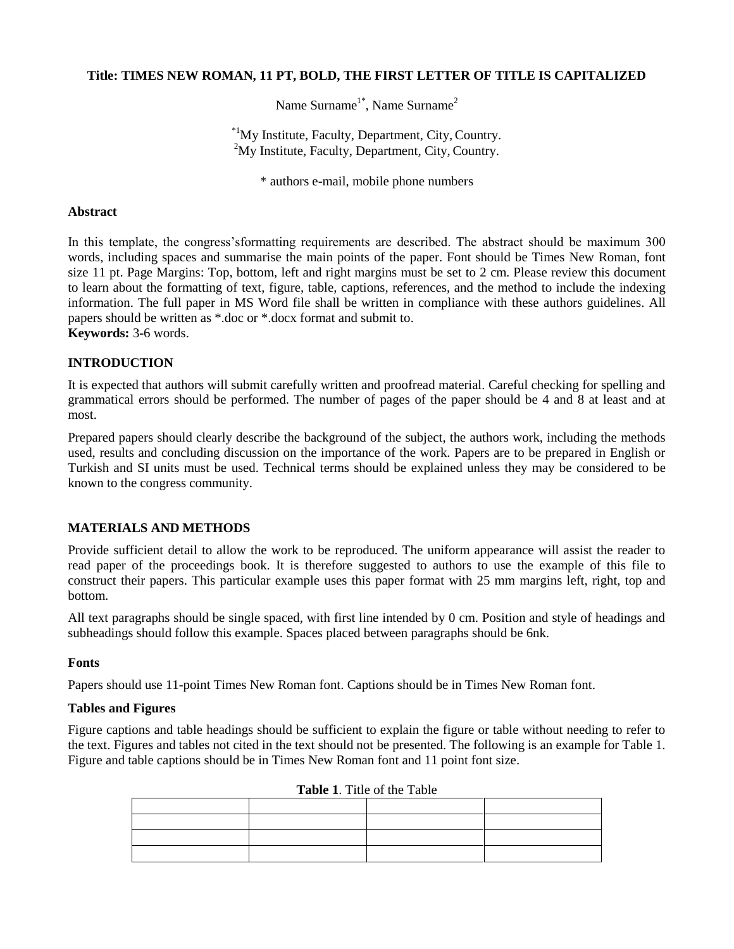# **Title: TIMES NEW ROMAN, 11 PT, BOLD, THE FIRST LETTER OF TITLE IS CAPITALIZED**

Name Surname<sup>1\*</sup>, Name Surname<sup>2</sup>

\*1My Institute, Faculty, Department, City, Country.  $2^2$ My Institute, Faculty, Department, City, Country.

\* authors e-mail, mobile phone numbers

## **Abstract**

In this template, the congress'sformatting requirements are described. The abstract should be maximum 300 words, including spaces and summarise the main points of the paper. Font should be Times New Roman, font size 11 pt. Page Margins: Top, bottom, left and right margins must be set to 2 cm. Please review this document to learn about the formatting of text, figure, table, captions, references, and the method to include the indexing information. The full paper in MS Word file shall be written in compliance with these authors guidelines. All papers should be written as \*.doc or \*.docx format and submit t[o.](mailto:meacongress@gmail.com) **Keywords:** 3-6 words.

# **INTRODUCTION**

It is expected that authors will submit carefully written and proofread material. Careful checking for spelling and grammatical errors should be performed. The number of pages of the paper should be 4 and 8 at least and at most.

Prepared papers should clearly describe the background of the subject, the authors work, including the methods used, results and concluding discussion on the importance of the work. Papers are to be prepared in English or Turkish and SI units must be used. Technical terms should be explained unless they may be considered to be known to the congress community.

### **MATERIALS AND METHODS**

Provide sufficient detail to allow the work to be reproduced. The uniform appearance will assist the reader to read paper of the proceedings book. It is therefore suggested to authors to use the example of this file to construct their papers. This particular example uses this paper format with 25 mm margins left, right, top and bottom.

All text paragraphs should be single spaced, with first line intended by 0 cm. Position and style of headings and subheadings should follow this example. Spaces placed between paragraphs should be 6nk.

### **Fonts**

Papers should use 11-point Times New Roman font. Captions should be in Times New Roman font.

### **Tables and Figures**

Figure captions and table headings should be sufficient to explain the figure or table without needing to refer to the text. Figures and tables not cited in the text should not be presented. The following is an example for Table 1. Figure and table captions should be in Times New Roman font and 11 point font size.

### **Table 1**. Title of the Table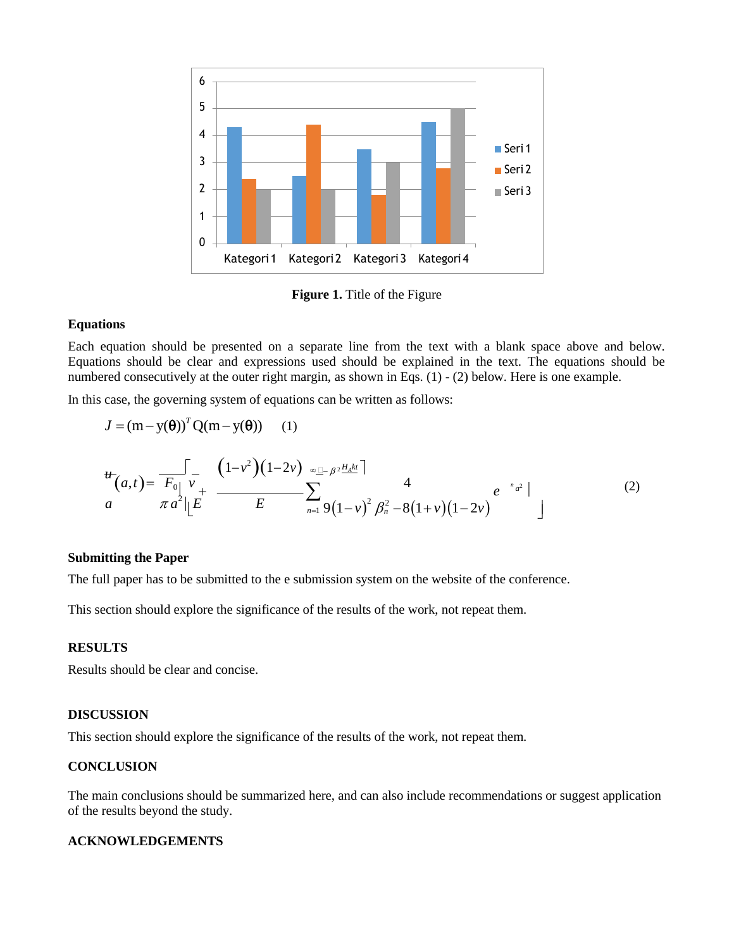

**Figure 1.** Title of the Figure

### **Equations**

Each equation should be presented on a separate line from the text with a blank space above and below. Equations should be clear and expressions used should be explained in the text. The equations should be numbered consecutively at the outer right margin, as shown in Eqs. (1) - (2) below. Here is one example.

In this case, the governing system of equations can be written as follows:

$$
J = (m - y(\theta))^T Q(m - y(\theta)) \quad (1)
$$
  
\n
$$
\frac{d}{dt}(a,t) = \frac{\int_{\pi_0}^{L} \int_{v_+}^{v_+} \frac{(1 - v^2)(1 - 2v) \sqrt{\pi} \mu_0 e^{-\mu_0 t} \mu_0^2}{E}}{\pi a^2 |\mu_0| E} \sum_{n=1}^{\infty} \frac{4}{9(1 - v)^2 \beta_n^2 - 8(1 + v)(1 - 2v)} e^{-\frac{n}{a^2}} |
$$
\n(2)

# **Submitting the Paper**

The full paper has to be submitted to the e submission system on the website of the conference.

This section should explore the significance of the results of the work, not repeat them.

# **RESULTS**

Results should be clear and concise.

# **DISCUSSION**

This section should explore the significance of the results of the work, not repeat them.

## **CONCLUSION**

The main conclusions should be summarized here, and can also include recommendations or suggest application of the results beyond the study.

# **ACKNOWLEDGEMENTS**